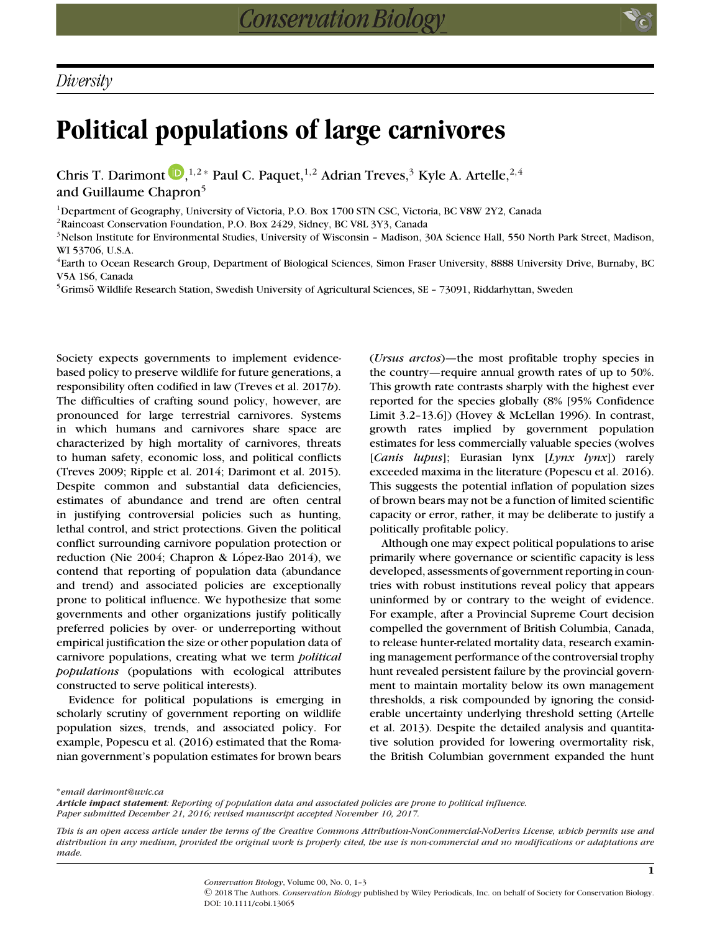## **Political populations of large carnivores**

Chris T. Darimont  $\bigcup_{n=1}^{\infty}$ [,](http://orcid.org/0000-0002-2799-6894)<sup>1,2</sup> \* Paul C. Paquet,<sup>1,2</sup> Adrian Treves,<sup>3</sup> Kyle A. Artelle,<sup>2,4</sup> and Guillaume Chapron<sup>5</sup>

1Department of Geography, University of Victoria, P.O. Box 1700 STN CSC, Victoria, BC V8W 2Y2, Canada

2Raincoast Conservation Foundation, P.O. Box 2429, Sidney, BC V8L 3Y3, Canada

<sup>3</sup>Nelson Institute for Environmental Studies, University of Wisconsin - Madison, 30A Science Hall, 550 North Park Street, Madison, WI 53706, U.S.A.

4Earth to Ocean Research Group, Department of Biological Sciences, Simon Fraser University, 8888 University Drive, Burnaby, BC V5A 1S6, Canada

<sup>5</sup>Grimsö Wildlife Research Station, Swedish University of Agricultural Sciences, SE – 73091, Riddarhyttan, Sweden

Society expects governments to implement evidencebased policy to preserve wildlife for future generations, a responsibility often codified in law (Treves et al. 2017*b*). The difficulties of crafting sound policy, however, are pronounced for large terrestrial carnivores. Systems in which humans and carnivores share space are characterized by high mortality of carnivores, threats to human safety, economic loss, and political conflicts (Treves 2009; Ripple et al. 2014; Darimont et al. 2015). Despite common and substantial data deficiencies, estimates of abundance and trend are often central in justifying controversial policies such as hunting, lethal control, and strict protections. Given the political conflict surrounding carnivore population protection or reduction (Nie 2004; Chapron & López-Bao 2014), we contend that reporting of population data (abundance and trend) and associated policies are exceptionally prone to political influence. We hypothesize that some governments and other organizations justify politically preferred policies by over- or underreporting without empirical justification the size or other population data of carnivore populations, creating what we term *political populations* (populations with ecological attributes constructed to serve political interests).

Evidence for political populations is emerging in scholarly scrutiny of government reporting on wildlife population sizes, trends, and associated policy. For example, Popescu et al. (2016) estimated that the Romanian government's population estimates for brown bears (*Ursus arctos*)—the most profitable trophy species in the country—require annual growth rates of up to 50%. This growth rate contrasts sharply with the highest ever reported for the species globally (8% [95% Confidence Limit 3.2–13.6]) (Hovey & McLellan 1996). In contrast, growth rates implied by government population estimates for less commercially valuable species (wolves [*Canis lupus*]; Eurasian lynx [*Lynx lynx*]) rarely exceeded maxima in the literature (Popescu et al. 2016). This suggests the potential inflation of population sizes of brown bears may not be a function of limited scientific capacity or error, rather, it may be deliberate to justify a politically profitable policy.

Although one may expect political populations to arise primarily where governance or scientific capacity is less developed, assessments of government reporting in countries with robust institutions reveal policy that appears uninformed by or contrary to the weight of evidence. For example, after a Provincial Supreme Court decision compelled the government of British Columbia, Canada, to release hunter-related mortality data, research examining management performance of the controversial trophy hunt revealed persistent failure by the provincial government to maintain mortality below its own management thresholds, a risk compounded by ignoring the considerable uncertainty underlying threshold setting (Artelle et al. 2013). Despite the detailed analysis and quantitative solution provided for lowering overmortality risk, the British Columbian government expanded the hunt

∗*email darimont@uvic.ca*

*Article impact statement: Reporting of population data and associated policies are prone to political influence. Paper submitted December 21, 2016; revised manuscript accepted November 10, 2017.*

DOI: 10.1111/cobi.13065

*This is an open access article under the terms of the [Creative Commons Attribution-NonCommercial-NoDerivs](http://creativecommons.org/licenses/by-nc-nd/4.0/) License, which permits use and distribution in any medium, provided the original work is properly cited, the use is non-commercial and no modifications or adaptations are made.*

> *Conservation Biology*, Volume 00, No. 0, 1–3 C 2018 The Authors. *Conservation Biology* published by Wiley Periodicals, Inc. on behalf of Society for Conservation Biology.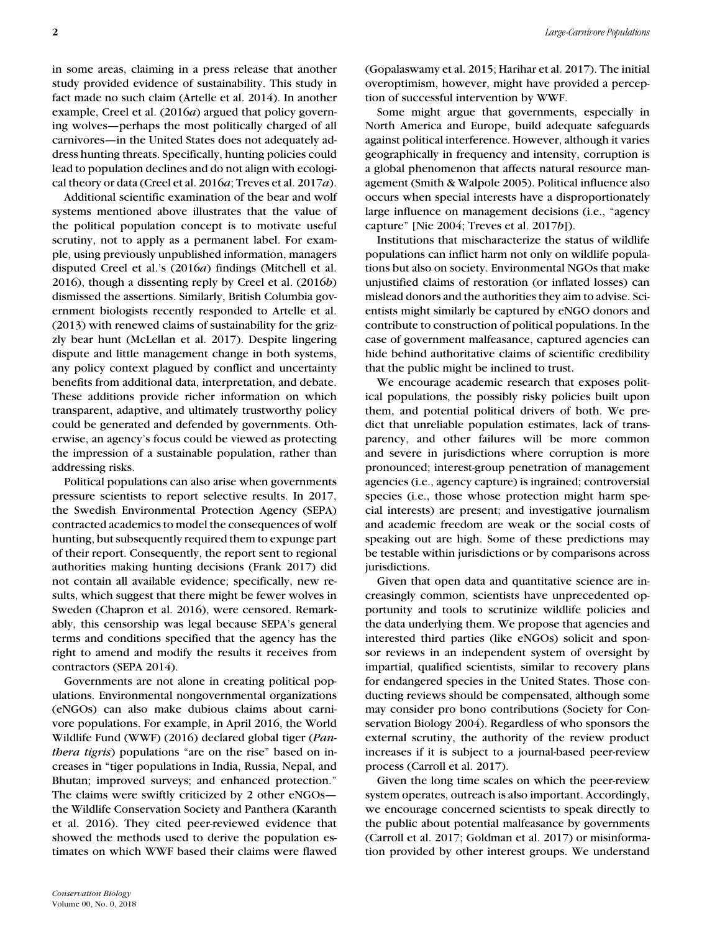in some areas, claiming in a press release that another study provided evidence of sustainability. This study in fact made no such claim (Artelle et al. 2014). In another example, Creel et al. (2016*a*) argued that policy governing wolves—perhaps the most politically charged of all carnivores—in the United States does not adequately address hunting threats. Specifically, hunting policies could lead to population declines and do not align with ecological theory or data (Creel et al. 2016*a*; Treves et al. 2017*a*).

Additional scientific examination of the bear and wolf systems mentioned above illustrates that the value of the political population concept is to motivate useful scrutiny, not to apply as a permanent label. For example, using previously unpublished information, managers disputed Creel et al.'s (2016*a*) findings (Mitchell et al. 2016), though a dissenting reply by Creel et al. (2016*b*) dismissed the assertions. Similarly, British Columbia government biologists recently responded to Artelle et al. (2013) with renewed claims of sustainability for the grizzly bear hunt (McLellan et al. 2017). Despite lingering dispute and little management change in both systems, any policy context plagued by conflict and uncertainty benefits from additional data, interpretation, and debate. These additions provide richer information on which transparent, adaptive, and ultimately trustworthy policy could be generated and defended by governments. Otherwise, an agency's focus could be viewed as protecting the impression of a sustainable population, rather than addressing risks.

Political populations can also arise when governments pressure scientists to report selective results. In 2017, the Swedish Environmental Protection Agency (SEPA) contracted academics to model the consequences of wolf hunting, but subsequently required them to expunge part of their report. Consequently, the report sent to regional authorities making hunting decisions (Frank 2017) did not contain all available evidence; specifically, new results, which suggest that there might be fewer wolves in Sweden (Chapron et al. 2016), were censored. Remarkably, this censorship was legal because SEPA's general terms and conditions specified that the agency has the right to amend and modify the results it receives from contractors (SEPA 2014).

Governments are not alone in creating political populations. Environmental nongovernmental organizations (eNGOs) can also make dubious claims about carnivore populations. For example, in April 2016, the World Wildlife Fund (WWF) (2016) declared global tiger (*Panthera tigris*) populations "are on the rise" based on increases in "tiger populations in India, Russia, Nepal, and Bhutan; improved surveys; and enhanced protection." The claims were swiftly criticized by 2 other eNGOs the Wildlife Conservation Society and Panthera (Karanth et al. 2016). They cited peer-reviewed evidence that showed the methods used to derive the population estimates on which WWF based their claims were flawed (Gopalaswamy et al. 2015; Harihar et al. 2017). The initial overoptimism, however, might have provided a perception of successful intervention by WWF.

Some might argue that governments, especially in North America and Europe, build adequate safeguards against political interference. However, although it varies geographically in frequency and intensity, corruption is a global phenomenon that affects natural resource management (Smith & Walpole 2005). Political influence also occurs when special interests have a disproportionately large influence on management decisions (i.e., "agency capture" [Nie 2004; Treves et al. 2017*b*]).

Institutions that mischaracterize the status of wildlife populations can inflict harm not only on wildlife populations but also on society. Environmental NGOs that make unjustified claims of restoration (or inflated losses) can mislead donors and the authorities they aim to advise. Scientists might similarly be captured by eNGO donors and contribute to construction of political populations. In the case of government malfeasance, captured agencies can hide behind authoritative claims of scientific credibility that the public might be inclined to trust.

We encourage academic research that exposes political populations, the possibly risky policies built upon them, and potential political drivers of both. We predict that unreliable population estimates, lack of transparency, and other failures will be more common and severe in jurisdictions where corruption is more pronounced; interest-group penetration of management agencies (i.e., agency capture) is ingrained; controversial species (i.e., those whose protection might harm special interests) are present; and investigative journalism and academic freedom are weak or the social costs of speaking out are high. Some of these predictions may be testable within jurisdictions or by comparisons across jurisdictions.

Given that open data and quantitative science are increasingly common, scientists have unprecedented opportunity and tools to scrutinize wildlife policies and the data underlying them. We propose that agencies and interested third parties (like eNGOs) solicit and sponsor reviews in an independent system of oversight by impartial, qualified scientists, similar to recovery plans for endangered species in the United States. Those conducting reviews should be compensated, although some may consider pro bono contributions (Society for Conservation Biology 2004). Regardless of who sponsors the external scrutiny, the authority of the review product increases if it is subject to a journal-based peer-review process (Carroll et al. 2017).

Given the long time scales on which the peer-review system operates, outreach is also important. Accordingly, we encourage concerned scientists to speak directly to the public about potential malfeasance by governments (Carroll et al. 2017; Goldman et al. 2017) or misinformation provided by other interest groups. We understand